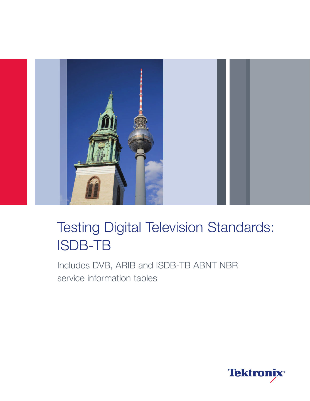

## Testing Digital Television Standards: ISDB-TB

Includes DVB, ARIB and ISDB-TB ABNT NBR service information tables

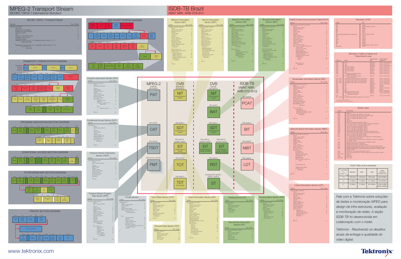

# MPEG-2 Transport Stream

ISO/IEC 13818-1 International Standard **ABNT NBR, ARIB STB-B10** 













#### Allocation of PID PAT PMT CAT NIT SDT BAT EIT EIT (terrestrial digital television broadcasting) RST TDT TOT PCAT BIT **NBIT** LDT ST Null packet 0x0000 Indirect designation by PAT 0x000 0x0010 0x0011 0x0011 0x0012 0x0012, 0x0026, 0x0027 0x0013 0x0014 0x0014 0x0022 0x0024 0x0025 0x0025 Exclude 0x0000, 0x0001, 0x0014 0x1FFF PID **Table**

#### H.264 Video (a few examples)

| Profiles<br>Levels | <b>Baseline</b> | Main       | High          | Video<br>resolution<br>@ frame rate |
|--------------------|-----------------|------------|---------------|-------------------------------------|
| 1.3                | 768 kbit/s      | 768 kbit/s | 960 kbit/s    | 320x240@30                          |
| 3                  | 10 Mbit/s       | 10 Mbit/s  | $12.5$ Mbit/s | 720x480@30                          |
| 4.1                | 50 Mbit/s       | 50 Mbit/s  | 62.5 Mbit/s   | 1280x720@60<br>1920x1080@30         |

#### Network Board Information Section (NBIT) network\_board\_information\_section() { section\_syntax\_indicator reserved\_future\_use 1 reserved section\_length original\_network\_id 16 version\_number current\_next\_indicato section\_number 8 and 8 and 8 and 8 and 8 and 8 and 8 and 8 and 8 and 8 and 8 and 8 and 8 and 8 and 8 and 8 and 8 and 8 and 8 and 8 and 8 and 8 and 8 and 8 and 8 and 8 and 8 and 8 and 8 and 8 and 8 and 8 and 8 and 8 and 8 a last\_section\_number  $for(i=0;i< n;i++)$  { information\_id 16 information\_type 4 and 200 minutes and 200 minutes and 200 minutes and 200 minutes and 200 minutes and 200 minutes and 200 minutes and 200 minutes and 200 minutes and 200 minutes and 200 minutes and 200 minutes and 200 min description\_body\_location 2 and 2 and 2 and 2 and 2 and 2 and 2 and 2 and 2 and 2 and 2 and 2 and 2 and 2 and 2 reserved\_future\_use 2 user\_defined 88 and 200 million and 200 million and 200 million and 38 and 38 and 38 and 38 and 38 and 38 and 38 and 38 and 38 and 38 and 38 and 38 and 38 and 38 and 38 and 38 and 38 and 38 and 38 and 38 and 38 and 38 and Number\_of\_keys 8 for(j=0;j<number\_of\_keys;j++) { Key\_id reserved\_future\_use 4 descriptors\_loop\_length  $For (j=0; j {$ descriptor()  $\mathrm{CRC\_32}$  32  $\mathrm{CRC\_32}$  32 Syntax **No. of bits** No. of bits

### Linked Description Section (LDT)

| <b>Syntax</b>                                                                                                                                                                                                                                                                                     | No. of bits                                                                                                                      |
|---------------------------------------------------------------------------------------------------------------------------------------------------------------------------------------------------------------------------------------------------------------------------------------------------|----------------------------------------------------------------------------------------------------------------------------------|
| linked_description_section() {<br>table id<br>section_syntax_indicator<br>reserved_future_use<br>reserved<br>section_length<br>original_service_id<br>reserved<br>version_number<br>current next indicator<br>section_number<br>last_section_number<br>transport_stream_id<br>original_network_id | 8<br>$\overline{1}$<br>$\overline{1}$<br>$\overline{c}$<br>12<br>16<br>$\overline{c}$<br>5<br>$\mathbf{1}$<br>8<br>8<br>16<br>16 |
| $for(i=0;i< n;i++)$ {<br>description_id<br>reserved_future_use<br>descriptors_loop_length<br>$for(i=0; i {descriptor()$                                                                                                                                                                           | 16<br>12<br>12                                                                                                                   |
| <b>CRC_32</b>                                                                                                                                                                                                                                                                                     | 32                                                                                                                               |

*Fale com a Tektronix sobre soluções de testes e monitoração MPEG para design de infra-estruturas, avaliação e monitoração de redes. A seção ISDB-TB foi desenvolvida em colaboração com o Inatel.*

*Tektronix - Resolvendo os desafios atuais de entrega e qualidade do vídeo digital.*











| Private Section          |                                               |                |  |  |
|--------------------------|-----------------------------------------------|----------------|--|--|
| Syntax                   |                                               | No. of bits    |  |  |
| private section() {      |                                               |                |  |  |
| table id                 |                                               | 8              |  |  |
| section_syntax_indicator |                                               | $\overline{1}$ |  |  |
| private_indicator        |                                               | $\overline{1}$ |  |  |
| reserved                 |                                               | $\overline{c}$ |  |  |
| private_section_length   |                                               | 12             |  |  |
|                          | if(section syntax indicator=='0') {           |                |  |  |
|                          | for( $i=0$ ; $i< N$ ; $i++$ ) {               |                |  |  |
|                          | private data byte                             | 8              |  |  |
|                          | $\{$                                          |                |  |  |
| $\{$                     |                                               |                |  |  |
| else {                   | table id extension                            | 16             |  |  |
|                          | reserved                                      | $\overline{c}$ |  |  |
|                          | version number                                | 5              |  |  |
|                          | current next indicator                        | $\overline{1}$ |  |  |
|                          | section number                                | 8              |  |  |
|                          | last_section_number                           | 8              |  |  |
|                          | for $(i=0;i<$ private_section_length-9;i++) { |                |  |  |
|                          | private data byte                             | 8              |  |  |
|                          | <b>CRC 32</b>                                 | 32             |  |  |
| $\{$                     |                                               |                |  |  |
| ł                        |                                               |                |  |  |
|                          |                                               |                |  |  |
|                          |                                               |                |  |  |
|                          |                                               |                |  |  |
|                          |                                               |                |  |  |
|                          |                                               |                |  |  |

# **ISDB-TB Brazil**<br>ABNT NBR, ARIB STB-B10

#### Stream\_type Value Description 0x00 0x01 0x02 0x03 0x04 0x05 0x06 0x07 0x08 0x09 0x0A 0x0B 0x0C 0x0D 0x0E 0x0F 0x10 0x11 0x12 0x13 0x14 0x15 0x16 0x17 0x18 0x19 0x1A 0x1B 0x1C- 0x7D 0x7E 0x7F 0x80-0xFF Reserved Video in accordance with ISO/IEC 11172-2 video Video in accordance with ITU-T Recommendation H.262 Audio in accordance with ISO/IEC 11172-3 Audio in accordance with ISO/IEC 13818-3 **Section** PES packet MHEG in accordance with ISO/IEC 13522-1 In accordance with ITU-T Recommendation H.222.0 Annex DSM-CC In accordance with ITU-T Recommendation H.222.1 Type A in accordance with ISO/IEC 13818-6 Type B in accordance with ISO/IEC 13818-6 Type C in accordance with ISO/IEC 13818-6 Type D in accordance with ISO/IEC 13818-6 Auxiliary data in accordance with ITU-T Recommendation H.222.0 Audio with ADTS transport syntax in accordance with ISO/IEC 13818-7 Video in accordance with ISO/IEC 14496-2 Audio in accordance with ISO/IEC 14496-3 SL – packets stream or FlexMux stream transported in the PES packets in accordance with ISO/IEC 14496-1 SL – packets stream or FlexMux stream transported in sections in accordance with ISO/IEC 14496-1 Download sync protocol in accordance with ISO/IEC 13818-6 Metadata transported by a PES packet Metadata transported by a metadata\_sections Metadata transported by data carousel in accordance with ISO/IEC 13818-6 Metadata transported by the objects carousel in accordance withISO/IEC 13818-6 Metadata transported by a synchronized download protocol in accordance with ISO/IEC 13818-6 IPMP steam in accordance with ISO/IEC 13818-11 Video in accordance with ITU-T Recommendation H.264 and ISO/IEC 14496-10 Reserved Data pipe IPMP stream Private use

| Syntax                                                                      | No. of bits    |
|-----------------------------------------------------------------------------|----------------|
| partial content announcement section() {                                    |                |
| table id                                                                    | 8              |
| section syntax indicator                                                    | $\mathbf{1}$   |
| reserved future use                                                         | $\overline{1}$ |
| reserved                                                                    | $\overline{2}$ |
| section_length                                                              | 12             |
| service id                                                                  | 16             |
| reserved                                                                    | $\overline{2}$ |
| version number                                                              | 5              |
| current_next_indicator                                                      | $\mathbf{1}$   |
| section_number                                                              | 8              |
| last_section_number                                                         | 8              |
| transport_stream_id                                                         | 16             |
| original_network_id                                                         | 16             |
| content_id                                                                  | 32             |
| num_of_content_version                                                      | 8              |
| for(i=0;i <num content="" of="" td="" version;i++)="" {<=""><td></td></num> |                |
| content_version                                                             | 16             |
| content minor version                                                       | 16             |
| version indicator                                                           | $\overline{2}$ |
| reserved_future_use                                                         | $\overline{2}$ |
| content descriptor length                                                   | 12             |
| reserved future use                                                         | $\overline{4}$ |
| schedule_description_length                                                 | 12             |
| $for(j=0;j {$                                                               |                |
| start time                                                                  | 40             |
| duration                                                                    | 24             |
| ł                                                                           |                |
| $for(i=0; j {$                                                              |                |
| descriptors()                                                               |                |
| $\{$                                                                        |                |
|                                                                             |                |
| <b>CRC 32</b>                                                               | 32             |

### Broadcaster Information Section (BIT)

| <b>Syntax</b>                                                                                                                                                                                                                                                                                                                                                                     | No. of bits                                                                                                                                                  |
|-----------------------------------------------------------------------------------------------------------------------------------------------------------------------------------------------------------------------------------------------------------------------------------------------------------------------------------------------------------------------------------|--------------------------------------------------------------------------------------------------------------------------------------------------------------|
| broadcaster_information_section() {<br>table id<br>section_syntax_indicator<br>reserved_future_use<br>reserved<br>section length<br>original_network_id<br>reserved<br>version number<br>current_next_indicator<br>section number<br>last section number<br>reserved future use<br>broadcast view propriety<br>first descriptors length<br>$for(i=0;i< N1;i++)$ {<br>descriptor() | 8<br>$\mathbf{1}$<br>$\overline{1}$<br>$\overline{2}$<br>12<br>16<br>$\overline{c}$<br>$\overline{5}$<br>$\mathbf{1}$<br>8<br>8<br>3<br>$\overline{1}$<br>12 |
| $for(i = 0; i < N2; i++)$ {<br>broadcaster id<br>reserved_future_use<br>broadcaster_descriptors_length<br>for $(K=0; k< N3; k++)$ {<br>descriptor()                                                                                                                                                                                                                               | 8<br>$\overline{4}$<br>12                                                                                                                                    |
| <b>CRC 32</b>                                                                                                                                                                                                                                                                                                                                                                     | 32                                                                                                                                                           |

#### Allocation of table\_id Values and Transmission Level

| Table id                                        | Table                                                       | Transmission<br>level   | Transmission<br>frequency |  |
|-------------------------------------------------|-------------------------------------------------------------|-------------------------|---------------------------|--|
| 0x00                                            | PAT <sup>*1</sup>                                           | Mandatory               | Once or more/100m sec.    |  |
| 0x01                                            | CAT <sup>*1</sup>                                           | Mandatory               | Once or more/1 sec.       |  |
| 0x02                                            | PMT <sup>*1</sup>                                           | Mandatory               | Once or more/100m sec.    |  |
| 0x40                                            | NIT (Actual network) *1                                     | Mandatory               | Once or more/10 sec.      |  |
| 0x41                                            | NIT (Other network) *1                                      | Optional                | Once or more/10 sec.      |  |
| 0x42                                            | SDT (Actual stream)                                         | Mandatory               | Once or more/2 sec.       |  |
| 0x46                                            | SDT (Other stream)                                          | Optional                | Once or more/10 sec.      |  |
| 0x4A                                            | <b>BAT</b>                                                  | Optional                | Once or more/10 sec.      |  |
| 0x4E                                            | EIT (Present and following program<br>of the actual stream) | Mandatory               | Once or more/2 sec.       |  |
| 0x4F                                            | EIT (Present and following program<br>of the other stream)  | Optional                | Once or more/10 sec.      |  |
| $0x50 - 0x5F$                                   | EIT (Program within 8 days of the actual stream)            | Optional                | Once or more/10 sec.      |  |
| $0x50 - 0x5F$                                   | EIT (Program after 8 days of the actual stream)             | Optional                | Once or more/30 sec.      |  |
| $0x60 - 0x6F$                                   | EIT (Program within 8 days of the other stream)             | Optional                | Once or more/10 sec.      |  |
| $0x60 - 0x6F$                                   | EIT (Program after 8 days of the other stream)              | Optional                | Once or more/30 sec.      |  |
| 0x70                                            | <b>TDT</b>                                                  | Mandatory <sup>"2</sup> | Once or more/30 sec.      |  |
| 0x71                                            | <b>RST</b>                                                  | Optional                | Optional                  |  |
| 0x72                                            | <b>ST</b>                                                   | Optional                | Optional                  |  |
| 0x73                                            | <b>TOT</b>                                                  | Mandatory <sup>'2</sup> | Once or more/30 sec.      |  |
| 0xC2                                            | <b>PCAT</b>                                                 | Optional                | Optional                  |  |
| 0xC4                                            | <b>BIT</b>                                                  | Optional                | Once or more/20 sec.      |  |
| 0xC5                                            | NBIT (Board information body)                               | Optional                | Once or more/20 sec.      |  |
| 0xC6                                            | NBIT (Reference information to<br>gain board information)   | Optional                | 1 sec. or more 10 sec.    |  |
| 0xC7                                            | <b>LDT</b>                                                  | Optional                | 1 sec. or more 10 sec.    |  |
| $0x90 - 0xBF$                                   | Selectable range as table_id value set by companies         |                         |                           |  |
| *1: In accordance with the Notification         |                                                             |                         |                           |  |
| *2: Transmitting either TDT or TOT is mandatory |                                                             |                         |                           |  |